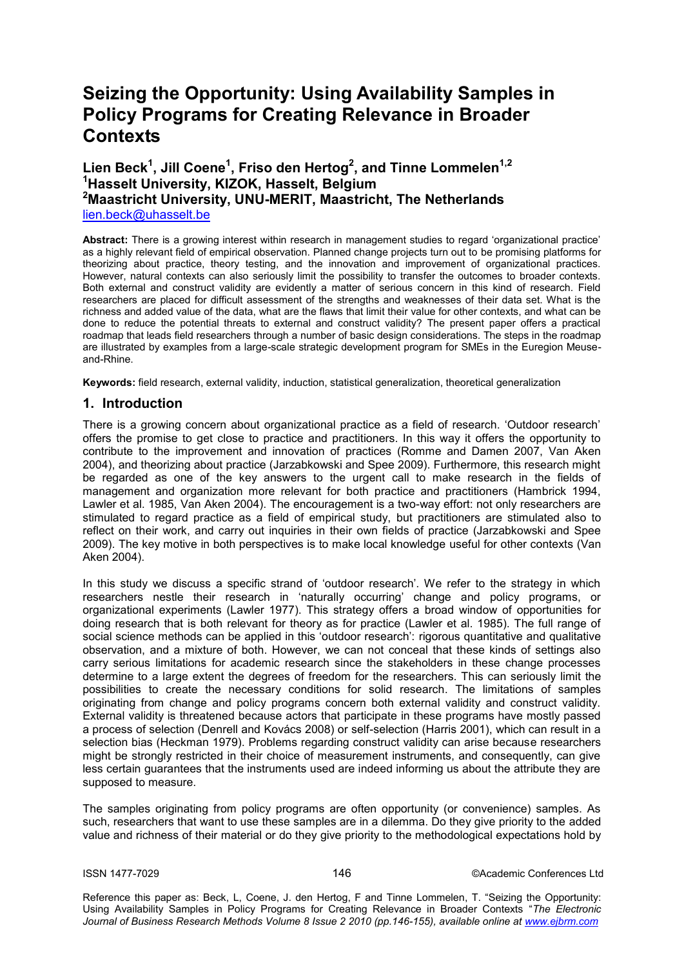# **Seizing the Opportunity: Using Availability Samples in Policy Programs for Creating Relevance in Broader Contexts**

# **Lien Beck<sup>1</sup> , Jill Coene<sup>1</sup> , Friso den Hertog<sup>2</sup> , and Tinne Lommelen1,2 <sup>1</sup>Hasselt University, KIZOK, Hasselt, Belgium <sup>2</sup>Maastricht University, UNU-MERIT, Maastricht, The Netherlands** lien.beck@uhasselt.be

Abstract: There is a growing interest within research in management studies to regard 'organizational practice' as a highly relevant field of empirical observation. Planned change projects turn out to be promising platforms for theorizing about practice, theory testing, and the innovation and improvement of organizational practices. However, natural contexts can also seriously limit the possibility to transfer the outcomes to broader contexts. Both external and construct validity are evidently a matter of serious concern in this kind of research. Field researchers are placed for difficult assessment of the strengths and weaknesses of their data set. What is the richness and added value of the data, what are the flaws that limit their value for other contexts, and what can be done to reduce the potential threats to external and construct validity? The present paper offers a practical roadmap that leads field researchers through a number of basic design considerations. The steps in the roadmap are illustrated by examples from a large-scale strategic development program for SMEs in the Euregion Meuseand-Rhine.

**Keywords:** field research, external validity, induction, statistical generalization, theoretical generalization

### **1. Introduction**

There is a growing concern about organizational practice as a field of research. "Outdoor research" offers the promise to get close to practice and practitioners. In this way it offers the opportunity to contribute to the improvement and innovation of practices (Romme and Damen 2007, Van Aken 2004), and theorizing about practice (Jarzabkowski and Spee 2009). Furthermore, this research might be regarded as one of the key answers to the urgent call to make research in the fields of management and organization more relevant for both practice and practitioners (Hambrick 1994, Lawler et al. 1985, Van Aken 2004). The encouragement is a two-way effort: not only researchers are stimulated to regard practice as a field of empirical study, but practitioners are stimulated also to reflect on their work, and carry out inquiries in their own fields of practice (Jarzabkowski and Spee 2009). The key motive in both perspectives is to make local knowledge useful for other contexts (Van Aken 2004).

In this study we discuss a specific strand of 'outdoor research'. We refer to the strategy in which researchers nestle their research in "naturally occurring" change and policy programs, or organizational experiments (Lawler 1977). This strategy offers a broad window of opportunities for doing research that is both relevant for theory as for practice (Lawler et al. 1985). The full range of social science methods can be applied in this 'outdoor research': rigorous quantitative and qualitative observation, and a mixture of both. However, we can not conceal that these kinds of settings also carry serious limitations for academic research since the stakeholders in these change processes determine to a large extent the degrees of freedom for the researchers. This can seriously limit the possibilities to create the necessary conditions for solid research. The limitations of samples originating from change and policy programs concern both external validity and construct validity. External validity is threatened because actors that participate in these programs have mostly passed a process of selection (Denrell and Kovács 2008) or self-selection (Harris 2001), which can result in a selection bias (Heckman 1979). Problems regarding construct validity can arise because researchers might be strongly restricted in their choice of measurement instruments, and consequently, can give less certain guarantees that the instruments used are indeed informing us about the attribute they are supposed to measure.

The samples originating from policy programs are often opportunity (or convenience) samples. As such, researchers that want to use these samples are in a dilemma. Do they give priority to the added value and richness of their material or do they give priority to the methodological expectations hold by

ISSN 1477-7029 146 ©Academic Conferences Ltd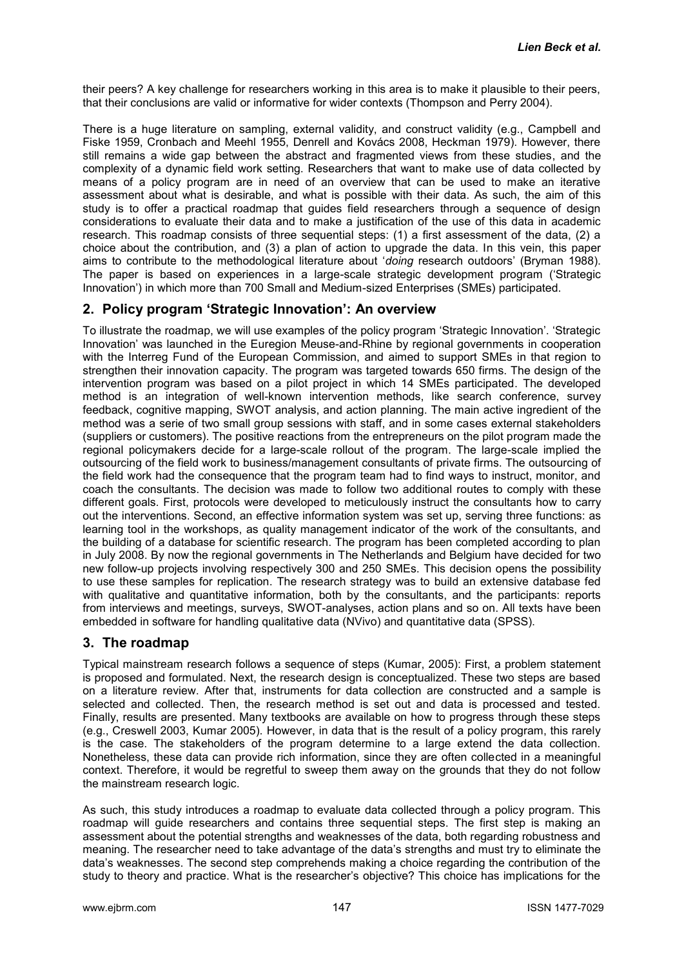their peers? A key challenge for researchers working in this area is to make it plausible to their peers, that their conclusions are valid or informative for wider contexts (Thompson and Perry 2004).

There is a huge literature on sampling, external validity, and construct validity (e.g., Campbell and Fiske 1959, Cronbach and Meehl 1955, Denrell and Kovács 2008, Heckman 1979). However, there still remains a wide gap between the abstract and fragmented views from these studies, and the complexity of a dynamic field work setting. Researchers that want to make use of data collected by means of a policy program are in need of an overview that can be used to make an iterative assessment about what is desirable, and what is possible with their data. As such, the aim of this study is to offer a practical roadmap that guides field researchers through a sequence of design considerations to evaluate their data and to make a justification of the use of this data in academic research. This roadmap consists of three sequential steps: (1) a first assessment of the data, (2) a choice about the contribution, and (3) a plan of action to upgrade the data. In this vein, this paper aims to contribute to the methodological literature about "*doing* research outdoors" (Bryman 1988). The paper is based on experiences in a large-scale strategic development program ("Strategic Innovation") in which more than 700 Small and Medium-sized Enterprises (SMEs) participated.

# **2. Policy program 'Strategic Innovation': An overview**

To illustrate the roadmap, we will use examples of the policy program "Strategic Innovation". "Strategic Innovation" was launched in the Euregion Meuse-and-Rhine by regional governments in cooperation with the Interreg Fund of the European Commission, and aimed to support SMEs in that region to strengthen their innovation capacity. The program was targeted towards 650 firms. The design of the intervention program was based on a pilot project in which 14 SMEs participated. The developed method is an integration of well-known intervention methods, like search conference, survey feedback, cognitive mapping, SWOT analysis, and action planning. The main active ingredient of the method was a serie of two small group sessions with staff, and in some cases external stakeholders (suppliers or customers). The positive reactions from the entrepreneurs on the pilot program made the regional policymakers decide for a large-scale rollout of the program. The large-scale implied the outsourcing of the field work to business/management consultants of private firms. The outsourcing of the field work had the consequence that the program team had to find ways to instruct, monitor, and coach the consultants. The decision was made to follow two additional routes to comply with these different goals. First, protocols were developed to meticulously instruct the consultants how to carry out the interventions. Second, an effective information system was set up, serving three functions: as learning tool in the workshops, as quality management indicator of the work of the consultants, and the building of a database for scientific research. The program has been completed according to plan in July 2008. By now the regional governments in The Netherlands and Belgium have decided for two new follow-up projects involving respectively 300 and 250 SMEs. This decision opens the possibility to use these samples for replication. The research strategy was to build an extensive database fed with qualitative and quantitative information, both by the consultants, and the participants: reports from interviews and meetings, surveys, SWOT-analyses, action plans and so on. All texts have been embedded in software for handling qualitative data (NVivo) and quantitative data (SPSS).

# **3. The roadmap**

Typical mainstream research follows a sequence of steps (Kumar, 2005): First, a problem statement is proposed and formulated. Next, the research design is conceptualized. These two steps are based on a literature review. After that, instruments for data collection are constructed and a sample is selected and collected. Then, the research method is set out and data is processed and tested. Finally, results are presented. Many textbooks are available on how to progress through these steps (e.g., Creswell 2003, Kumar 2005). However, in data that is the result of a policy program, this rarely is the case. The stakeholders of the program determine to a large extend the data collection. Nonetheless, these data can provide rich information, since they are often collected in a meaningful context. Therefore, it would be regretful to sweep them away on the grounds that they do not follow the mainstream research logic.

As such, this study introduces a roadmap to evaluate data collected through a policy program. This roadmap will guide researchers and contains three sequential steps. The first step is making an assessment about the potential strengths and weaknesses of the data, both regarding robustness and meaning. The researcher need to take advantage of the data"s strengths and must try to eliminate the data"s weaknesses. The second step comprehends making a choice regarding the contribution of the study to theory and practice. What is the researcher's objective? This choice has implications for the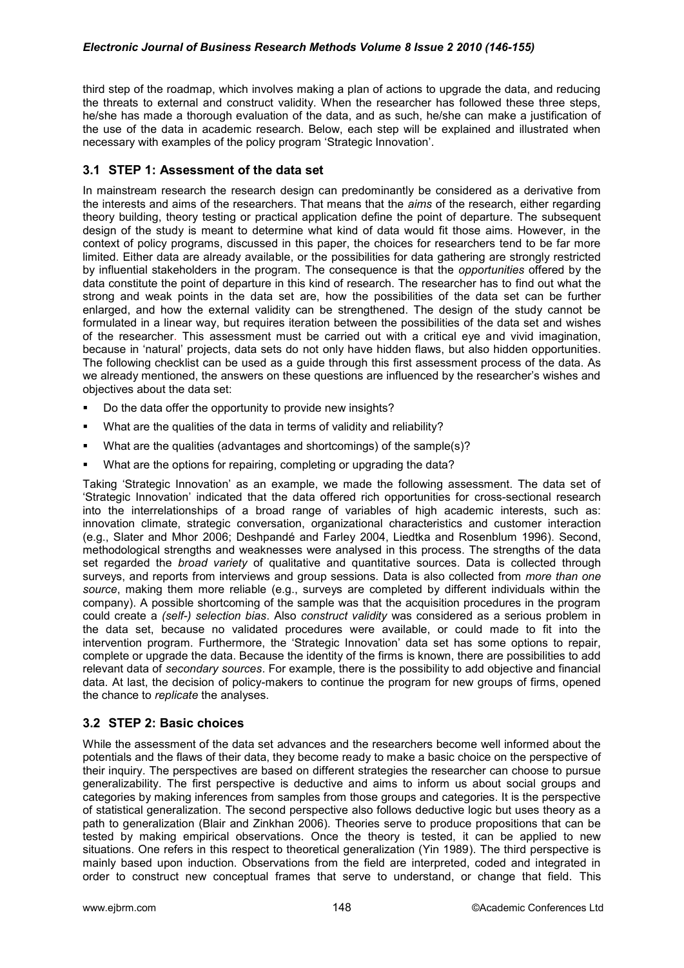third step of the roadmap, which involves making a plan of actions to upgrade the data, and reducing the threats to external and construct validity. When the researcher has followed these three steps, he/she has made a thorough evaluation of the data, and as such, he/she can make a justification of the use of the data in academic research. Below, each step will be explained and illustrated when necessary with examples of the policy program "Strategic Innovation".

## **3.1 STEP 1: Assessment of the data set**

In mainstream research the research design can predominantly be considered as a derivative from the interests and aims of the researchers. That means that the *aims* of the research, either regarding theory building, theory testing or practical application define the point of departure. The subsequent design of the study is meant to determine what kind of data would fit those aims. However, in the context of policy programs, discussed in this paper, the choices for researchers tend to be far more limited. Either data are already available, or the possibilities for data gathering are strongly restricted by influential stakeholders in the program. The consequence is that the *opportunities* offered by the data constitute the point of departure in this kind of research. The researcher has to find out what the strong and weak points in the data set are, how the possibilities of the data set can be further enlarged, and how the external validity can be strengthened. The design of the study cannot be formulated in a linear way, but requires iteration between the possibilities of the data set and wishes of the researcher. This assessment must be carried out with a critical eye and vivid imagination, because in "natural" projects, data sets do not only have hidden flaws, but also hidden opportunities. The following checklist can be used as a guide through this first assessment process of the data. As we already mentioned, the answers on these questions are influenced by the researcher"s wishes and objectives about the data set:

- Do the data offer the opportunity to provide new insights?
- What are the qualities of the data in terms of validity and reliability?
- What are the qualities (advantages and shortcomings) of the sample(s)?
- What are the options for repairing, completing or upgrading the data?

Taking "Strategic Innovation" as an example, we made the following assessment. The data set of "Strategic Innovation" indicated that the data offered rich opportunities for cross-sectional research into the interrelationships of a broad range of variables of high academic interests, such as: innovation climate, strategic conversation, organizational characteristics and customer interaction (e.g., Slater and Mhor 2006; Deshpandé and Farley 2004, Liedtka and Rosenblum 1996). Second, methodological strengths and weaknesses were analysed in this process. The strengths of the data set regarded the *broad variety* of qualitative and quantitative sources. Data is collected through surveys, and reports from interviews and group sessions. Data is also collected from *more than one source*, making them more reliable (e.g., surveys are completed by different individuals within the company). A possible shortcoming of the sample was that the acquisition procedures in the program could create a *(self-) selection bias*. Also *construct validity* was considered as a serious problem in the data set, because no validated procedures were available, or could made to fit into the intervention program. Furthermore, the "Strategic Innovation" data set has some options to repair, complete or upgrade the data. Because the identity of the firms is known, there are possibilities to add relevant data of *secondary sources*. For example, there is the possibility to add objective and financial data. At last, the decision of policy-makers to continue the program for new groups of firms, opened the chance to *replicate* the analyses.

# **3.2 STEP 2: Basic choices**

While the assessment of the data set advances and the researchers become well informed about the potentials and the flaws of their data, they become ready to make a basic choice on the perspective of their inquiry. The perspectives are based on different strategies the researcher can choose to pursue generalizability. The first perspective is deductive and aims to inform us about social groups and categories by making inferences from samples from those groups and categories. It is the perspective of statistical generalization. The second perspective also follows deductive logic but uses theory as a path to generalization (Blair and Zinkhan 2006). Theories serve to produce propositions that can be tested by making empirical observations. Once the theory is tested, it can be applied to new situations. One refers in this respect to theoretical generalization (Yin 1989). The third perspective is mainly based upon induction. Observations from the field are interpreted, coded and integrated in order to construct new conceptual frames that serve to understand, or change that field. This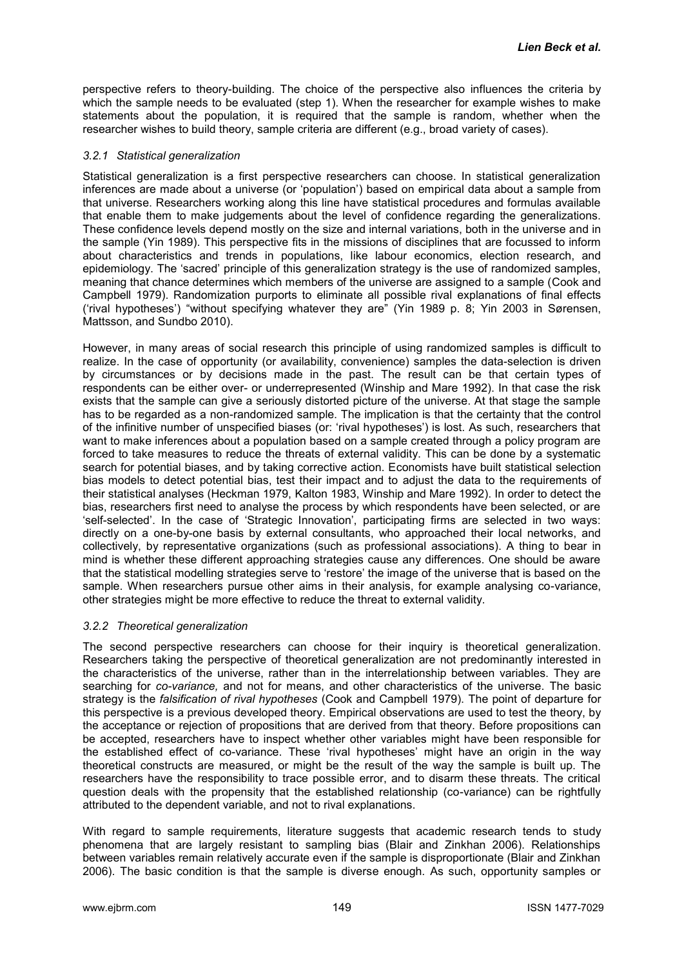perspective refers to theory-building. The choice of the perspective also influences the criteria by which the sample needs to be evaluated (step 1). When the researcher for example wishes to make statements about the population, it is required that the sample is random, whether when the researcher wishes to build theory, sample criteria are different (e.g., broad variety of cases).

#### *3.2.1 Statistical generalization*

Statistical generalization is a first perspective researchers can choose. In statistical generalization inferences are made about a universe (or "population") based on empirical data about a sample from that universe. Researchers working along this line have statistical procedures and formulas available that enable them to make judgements about the level of confidence regarding the generalizations. These confidence levels depend mostly on the size and internal variations, both in the universe and in the sample (Yin 1989). This perspective fits in the missions of disciplines that are focussed to inform about characteristics and trends in populations, like labour economics, election research, and epidemiology. The "sacred" principle of this generalization strategy is the use of randomized samples, meaning that chance determines which members of the universe are assigned to a sample (Cook and Campbell 1979). Randomization purports to eliminate all possible rival explanations of final effects ("rival hypotheses") "without specifying whatever they are" (Yin 1989 p. 8; Yin 2003 in Sørensen, Mattsson, and Sundbo 2010).

However, in many areas of social research this principle of using randomized samples is difficult to realize. In the case of opportunity (or availability, convenience) samples the data-selection is driven by circumstances or by decisions made in the past. The result can be that certain types of respondents can be either over- or underrepresented (Winship and Mare 1992). In that case the risk exists that the sample can give a seriously distorted picture of the universe. At that stage the sample has to be regarded as a non-randomized sample. The implication is that the certainty that the control of the infinitive number of unspecified biases (or: 'rival hypotheses') is lost. As such, researchers that want to make inferences about a population based on a sample created through a policy program are forced to take measures to reduce the threats of external validity. This can be done by a systematic search for potential biases, and by taking corrective action. Economists have built statistical selection bias models to detect potential bias, test their impact and to adjust the data to the requirements of their statistical analyses (Heckman 1979, Kalton 1983, Winship and Mare 1992). In order to detect the bias, researchers first need to analyse the process by which respondents have been selected, or are "self-selected". In the case of "Strategic Innovation", participating firms are selected in two ways: directly on a one-by-one basis by external consultants, who approached their local networks, and collectively, by representative organizations (such as professional associations). A thing to bear in mind is whether these different approaching strategies cause any differences. One should be aware that the statistical modelling strategies serve to "restore" the image of the universe that is based on the sample. When researchers pursue other aims in their analysis, for example analysing co-variance, other strategies might be more effective to reduce the threat to external validity.

#### *3.2.2 Theoretical generalization*

The second perspective researchers can choose for their inquiry is theoretical generalization. Researchers taking the perspective of theoretical generalization are not predominantly interested in the characteristics of the universe, rather than in the interrelationship between variables. They are searching for *co-variance,* and not for means, and other characteristics of the universe. The basic strategy is the *falsification of rival hypotheses* (Cook and Campbell 1979). The point of departure for this perspective is a previous developed theory. Empirical observations are used to test the theory, by the acceptance or rejection of propositions that are derived from that theory. Before propositions can be accepted, researchers have to inspect whether other variables might have been responsible for the established effect of co-variance. These "rival hypotheses" might have an origin in the way theoretical constructs are measured, or might be the result of the way the sample is built up. The researchers have the responsibility to trace possible error, and to disarm these threats. The critical question deals with the propensity that the established relationship (co-variance) can be rightfully attributed to the dependent variable, and not to rival explanations.

With regard to sample requirements, literature suggests that academic research tends to study phenomena that are largely resistant to sampling bias (Blair and Zinkhan 2006). Relationships between variables remain relatively accurate even if the sample is disproportionate (Blair and Zinkhan 2006). The basic condition is that the sample is diverse enough. As such, opportunity samples or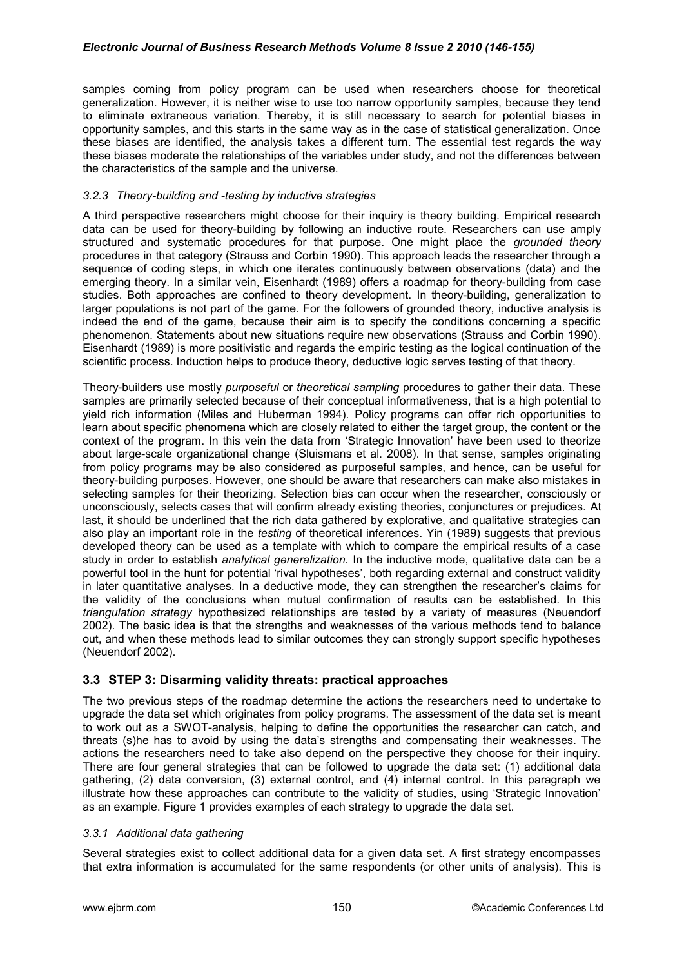#### *Electronic Journal of Business Research Methods Volume 8 Issue 2 2010 (146-155)*

samples coming from policy program can be used when researchers choose for theoretical generalization. However, it is neither wise to use too narrow opportunity samples, because they tend to eliminate extraneous variation. Thereby, it is still necessary to search for potential biases in opportunity samples, and this starts in the same way as in the case of statistical generalization. Once these biases are identified, the analysis takes a different turn. The essential test regards the way these biases moderate the relationships of the variables under study, and not the differences between the characteristics of the sample and the universe.

#### *3.2.3 Theory-building and -testing by inductive strategies*

A third perspective researchers might choose for their inquiry is theory building. Empirical research data can be used for theory-building by following an inductive route. Researchers can use amply structured and systematic procedures for that purpose. One might place the *grounded theory* procedures in that category (Strauss and Corbin 1990). This approach leads the researcher through a sequence of coding steps, in which one iterates continuously between observations (data) and the emerging theory. In a similar vein, Eisenhardt (1989) offers a roadmap for theory-building from case studies. Both approaches are confined to theory development. In theory-building, generalization to larger populations is not part of the game. For the followers of grounded theory, inductive analysis is indeed the end of the game, because their aim is to specify the conditions concerning a specific phenomenon. Statements about new situations require new observations (Strauss and Corbin 1990). Eisenhardt (1989) is more positivistic and regards the empiric testing as the logical continuation of the scientific process. Induction helps to produce theory, deductive logic serves testing of that theory.

Theory-builders use mostly *purposeful* or *theoretical sampling* procedures to gather their data. These samples are primarily selected because of their conceptual informativeness, that is a high potential to yield rich information (Miles and Huberman 1994). Policy programs can offer rich opportunities to learn about specific phenomena which are closely related to either the target group, the content or the context of the program. In this vein the data from "Strategic Innovation" have been used to theorize about large-scale organizational change (Sluismans et al. 2008). In that sense, samples originating from policy programs may be also considered as purposeful samples, and hence, can be useful for theory-building purposes. However, one should be aware that researchers can make also mistakes in selecting samples for their theorizing. Selection bias can occur when the researcher, consciously or unconsciously, selects cases that will confirm already existing theories, conjunctures or prejudices. At last, it should be underlined that the rich data gathered by explorative, and qualitative strategies can also play an important role in the *testing* of theoretical inferences. Yin (1989) suggests that previous developed theory can be used as a template with which to compare the empirical results of a case study in order to establish *analytical generalization.* In the inductive mode, qualitative data can be a powerful tool in the hunt for potential "rival hypotheses", both regarding external and construct validity in later quantitative analyses. In a deductive mode, they can strengthen the researcher"s claims for the validity of the conclusions when mutual confirmation of results can be established. In this *triangulation strategy* hypothesized relationships are tested by a variety of measures (Neuendorf 2002). The basic idea is that the strengths and weaknesses of the various methods tend to balance out, and when these methods lead to similar outcomes they can strongly support specific hypotheses (Neuendorf 2002).

#### **3.3 STEP 3: Disarming validity threats: practical approaches**

The two previous steps of the roadmap determine the actions the researchers need to undertake to upgrade the data set which originates from policy programs. The assessment of the data set is meant to work out as a SWOT-analysis, helping to define the opportunities the researcher can catch, and threats (s)he has to avoid by using the data"s strengths and compensating their weaknesses. The actions the researchers need to take also depend on the perspective they choose for their inquiry. There are four general strategies that can be followed to upgrade the data set: (1) additional data gathering, (2) data conversion, (3) external control, and (4) internal control. In this paragraph we illustrate how these approaches can contribute to the validity of studies, using "Strategic Innovation" as an example. Figure 1 provides examples of each strategy to upgrade the data set.

#### *3.3.1 Additional data gathering*

Several strategies exist to collect additional data for a given data set. A first strategy encompasses that extra information is accumulated for the same respondents (or other units of analysis). This is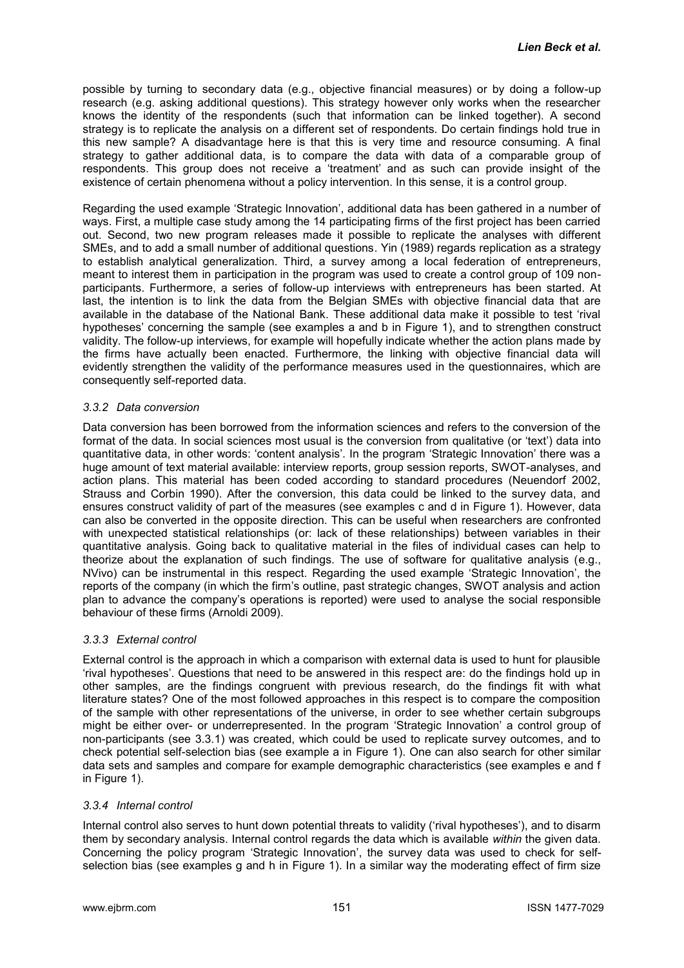possible by turning to secondary data (e.g., objective financial measures) or by doing a follow-up research (e.g. asking additional questions). This strategy however only works when the researcher knows the identity of the respondents (such that information can be linked together). A second strategy is to replicate the analysis on a different set of respondents. Do certain findings hold true in this new sample? A disadvantage here is that this is very time and resource consuming. A final strategy to gather additional data, is to compare the data with data of a comparable group of respondents. This group does not receive a "treatment" and as such can provide insight of the existence of certain phenomena without a policy intervention. In this sense, it is a control group.

Regarding the used example "Strategic Innovation", additional data has been gathered in a number of ways. First, a multiple case study among the 14 participating firms of the first project has been carried out. Second, two new program releases made it possible to replicate the analyses with different SMEs, and to add a small number of additional questions. Yin (1989) regards replication as a strategy to establish analytical generalization. Third, a survey among a local federation of entrepreneurs, meant to interest them in participation in the program was used to create a control group of 109 nonparticipants. Furthermore, a series of follow-up interviews with entrepreneurs has been started. At last, the intention is to link the data from the Belgian SMEs with objective financial data that are available in the database of the National Bank. These additional data make it possible to test "rival hypotheses' concerning the sample (see examples a and b in Figure 1), and to strengthen construct validity. The follow-up interviews, for example will hopefully indicate whether the action plans made by the firms have actually been enacted. Furthermore, the linking with objective financial data will evidently strengthen the validity of the performance measures used in the questionnaires, which are consequently self-reported data.

#### *3.3.2 Data conversion*

Data conversion has been borrowed from the information sciences and refers to the conversion of the format of the data. In social sciences most usual is the conversion from qualitative (or 'text') data into quantitative data, in other words: "content analysis". In the program "Strategic Innovation" there was a huge amount of text material available: interview reports, group session reports, SWOT-analyses, and action plans. This material has been coded according to standard procedures (Neuendorf 2002, Strauss and Corbin 1990). After the conversion, this data could be linked to the survey data, and ensures construct validity of part of the measures (see examples c and d in Figure 1). However, data can also be converted in the opposite direction. This can be useful when researchers are confronted with unexpected statistical relationships (or: lack of these relationships) between variables in their quantitative analysis. Going back to qualitative material in the files of individual cases can help to theorize about the explanation of such findings. The use of software for qualitative analysis (e.g., NVivo) can be instrumental in this respect. Regarding the used example "Strategic Innovation", the reports of the company (in which the firm"s outline, past strategic changes, SWOT analysis and action plan to advance the company"s operations is reported) were used to analyse the social responsible behaviour of these firms (Arnoldi 2009).

#### *3.3.3 External control*

External control is the approach in which a comparison with external data is used to hunt for plausible "rival hypotheses". Questions that need to be answered in this respect are: do the findings hold up in other samples, are the findings congruent with previous research, do the findings fit with what literature states? One of the most followed approaches in this respect is to compare the composition of the sample with other representations of the universe, in order to see whether certain subgroups might be either over- or underrepresented. In the program "Strategic Innovation" a control group of non-participants (see 3.3.1) was created, which could be used to replicate survey outcomes, and to check potential self-selection bias (see example a in Figure 1). One can also search for other similar data sets and samples and compare for example demographic characteristics (see examples e and f in Figure 1).

#### *3.3.4 Internal control*

Internal control also serves to hunt down potential threats to validity ("rival hypotheses"), and to disarm them by secondary analysis. Internal control regards the data which is available *within* the given data. Concerning the policy program "Strategic Innovation", the survey data was used to check for selfselection bias (see examples q and h in Figure 1). In a similar way the moderating effect of firm size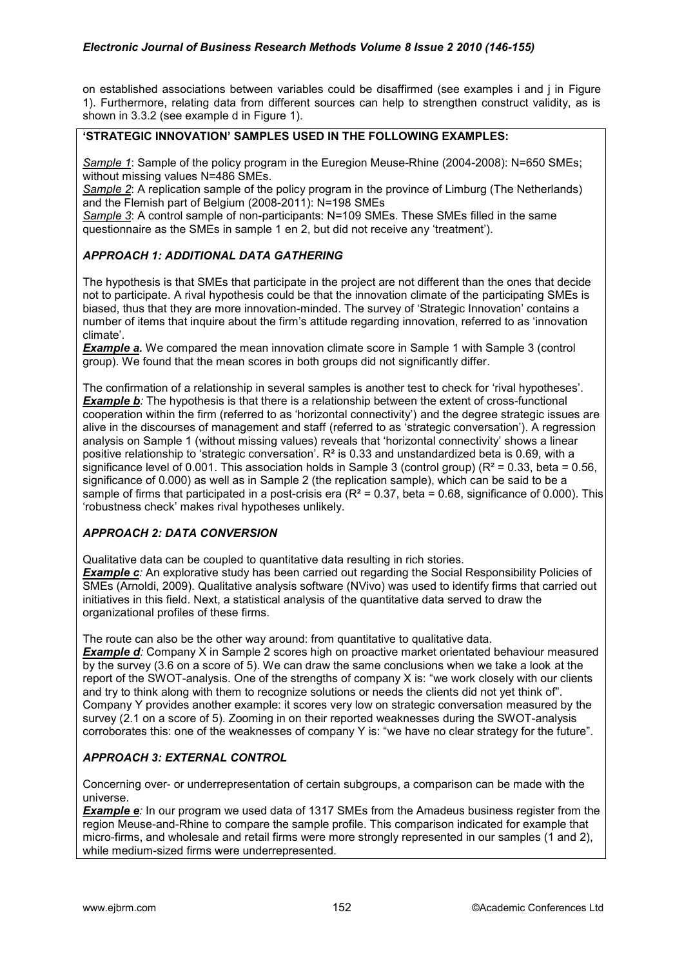on established associations between variables could be disaffirmed (see examples i and j in Figure 1). Furthermore, relating data from different sources can help to strengthen construct validity, as is shown in 3.3.2 (see example d in Figure 1).

# **'STRATEGIC INNOVATION' SAMPLES USED IN THE FOLLOWING EXAMPLES:**

*Sample 1*: Sample of the policy program in the Euregion Meuse-Rhine (2004-2008): N=650 SMEs; without missing values N=486 SMEs.

*Sample 2*: A replication sample of the policy program in the province of Limburg (The Netherlands) and the Flemish part of Belgium (2008-2011): N=198 SMEs

*Sample 3*: A control sample of non-participants: N=109 SMEs. These SMEs filled in the same questionnaire as the SMEs in sample 1 en 2, but did not receive any "treatment").

# *APPROACH 1: ADDITIONAL DATA GATHERING*

The hypothesis is that SMEs that participate in the project are not different than the ones that decide not to participate. A rival hypothesis could be that the innovation climate of the participating SMEs is biased, thus that they are more innovation-minded. The survey of "Strategic Innovation" contains a number of items that inquire about the firm"s attitude regarding innovation, referred to as "innovation climate".

**Example a.** We compared the mean innovation climate score in Sample 1 with Sample 3 (control group). We found that the mean scores in both groups did not significantly differ.

The confirmation of a relationship in several samples is another test to check for "rival hypotheses". *Example b*: The hypothesis is that there is a relationship between the extent of cross-functional cooperation within the firm (referred to as "horizontal connectivity") and the degree strategic issues are alive in the discourses of management and staff (referred to as "strategic conversation"). A regression analysis on Sample 1 (without missing values) reveals that "horizontal connectivity" shows a linear positive relationship to 'strategic conversation'.  $R<sup>2</sup>$  is 0.33 and unstandardized beta is 0.69, with a significance level of 0.001. This association holds in Sample 3 (control group) ( $R^2$  = 0.33, beta = 0.56, significance of 0.000) as well as in Sample 2 (the replication sample), which can be said to be a sample of firms that participated in a post-crisis era  $(R^2 = 0.37, \text{beta} = 0.68, \text{significance of } 0.000)$ . This "robustness check" makes rival hypotheses unlikely.

# *APPROACH 2: DATA CONVERSION*

Qualitative data can be coupled to quantitative data resulting in rich stories.

*Example c*: An explorative study has been carried out regarding the Social Responsibility Policies of SMEs (Arnoldi, 2009). Qualitative analysis software (NVivo) was used to identify firms that carried out initiatives in this field. Next, a statistical analysis of the quantitative data served to draw the organizational profiles of these firms.

The route can also be the other way around: from quantitative to qualitative data.

*Example d*: Company X in Sample 2 scores high on proactive market orientated behaviour measured by the survey (3.6 on a score of 5). We can draw the same conclusions when we take a look at the report of the SWOT-analysis. One of the strengths of company X is: "we work closely with our clients and try to think along with them to recognize solutions or needs the clients did not yet think of". Company Y provides another example: it scores very low on strategic conversation measured by the survey (2.1 on a score of 5). Zooming in on their reported weaknesses during the SWOT-analysis corroborates this: one of the weaknesses of company Y is: "we have no clear strategy for the future".

#### *APPROACH 3: EXTERNAL CONTROL*

Concerning over- or underrepresentation of certain subgroups, a comparison can be made with the universe.

*Example e*: In our program we used data of 1317 SMEs from the Amadeus business register from the region Meuse-and-Rhine to compare the sample profile. This comparison indicated for example that micro-firms, and wholesale and retail firms were more strongly represented in our samples (1 and 2), while medium-sized firms were underrepresented.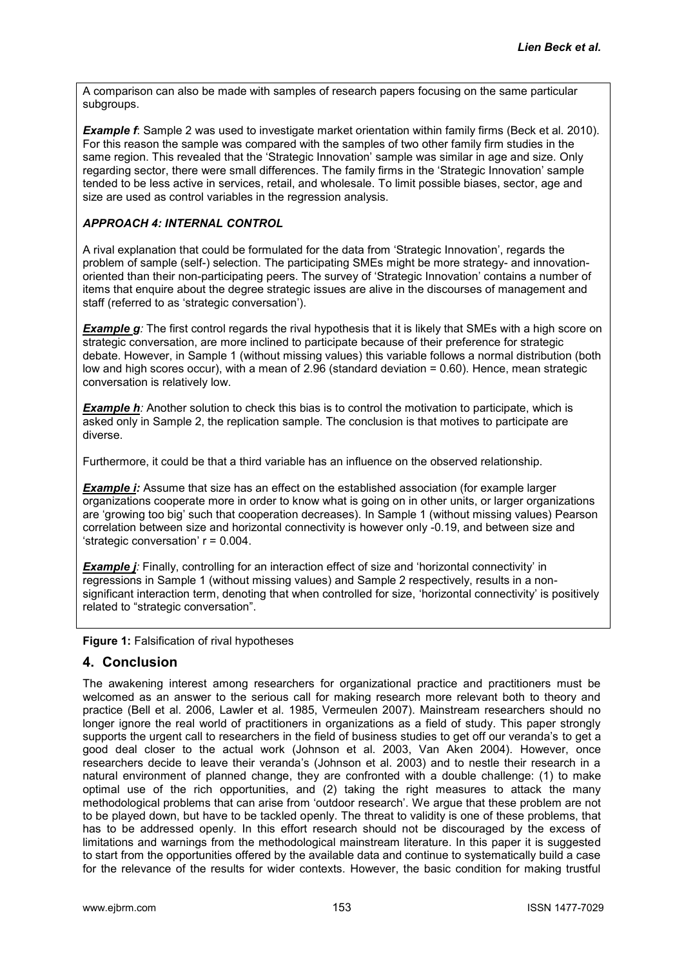A comparison can also be made with samples of research papers focusing on the same particular subgroups.

**Example f**: Sample 2 was used to investigate market orientation within family firms (Beck et al. 2010). For this reason the sample was compared with the samples of two other family firm studies in the same region. This revealed that the "Strategic Innovation" sample was similar in age and size. Only regarding sector, there were small differences. The family firms in the "Strategic Innovation" sample tended to be less active in services, retail, and wholesale. To limit possible biases, sector, age and size are used as control variables in the regression analysis.

#### *APPROACH 4: INTERNAL CONTROL*

A rival explanation that could be formulated for the data from "Strategic Innovation", regards the problem of sample (self-) selection. The participating SMEs might be more strategy- and innovationoriented than their non-participating peers. The survey of "Strategic Innovation" contains a number of items that enquire about the degree strategic issues are alive in the discourses of management and staff (referred to as "strategic conversation").

**Example g**: The first control regards the rival hypothesis that it is likely that SMEs with a high score on strategic conversation, are more inclined to participate because of their preference for strategic debate. However, in Sample 1 (without missing values) this variable follows a normal distribution (both low and high scores occur), with a mean of 2.96 (standard deviation = 0.60). Hence, mean strategic conversation is relatively low.

*Example h*: Another solution to check this bias is to control the motivation to participate, which is asked only in Sample 2, the replication sample. The conclusion is that motives to participate are diverse.

Furthermore, it could be that a third variable has an influence on the observed relationship.

**Example i:** Assume that size has an effect on the established association (for example larger organizations cooperate more in order to know what is going on in other units, or larger organizations are "growing too big" such that cooperation decreases). In Sample 1 (without missing values) Pearson correlation between size and horizontal connectivity is however only -0.19, and between size and 'strategic conversation'  $r = 0.004$ .

**Example** *i*: Finally, controlling for an interaction effect of size and 'horizontal connectivity' in regressions in Sample 1 (without missing values) and Sample 2 respectively, results in a nonsignificant interaction term, denoting that when controlled for size, "horizontal connectivity" is positively related to "strategic conversation".

**Figure 1:** Falsification of rival hypotheses

# **4. Conclusion**

The awakening interest among researchers for organizational practice and practitioners must be welcomed as an answer to the serious call for making research more relevant both to theory and practice (Bell et al. 2006, Lawler et al. 1985, Vermeulen 2007). Mainstream researchers should no longer ignore the real world of practitioners in organizations as a field of study. This paper strongly supports the urgent call to researchers in the field of business studies to get off our veranda's to get a good deal closer to the actual work (Johnson et al. 2003, Van Aken 2004). However, once researchers decide to leave their veranda"s (Johnson et al. 2003) and to nestle their research in a natural environment of planned change, they are confronted with a double challenge: (1) to make optimal use of the rich opportunities, and (2) taking the right measures to attack the many methodological problems that can arise from "outdoor research". We argue that these problem are not to be played down, but have to be tackled openly. The threat to validity is one of these problems, that has to be addressed openly. In this effort research should not be discouraged by the excess of limitations and warnings from the methodological mainstream literature. In this paper it is suggested to start from the opportunities offered by the available data and continue to systematically build a case for the relevance of the results for wider contexts. However, the basic condition for making trustful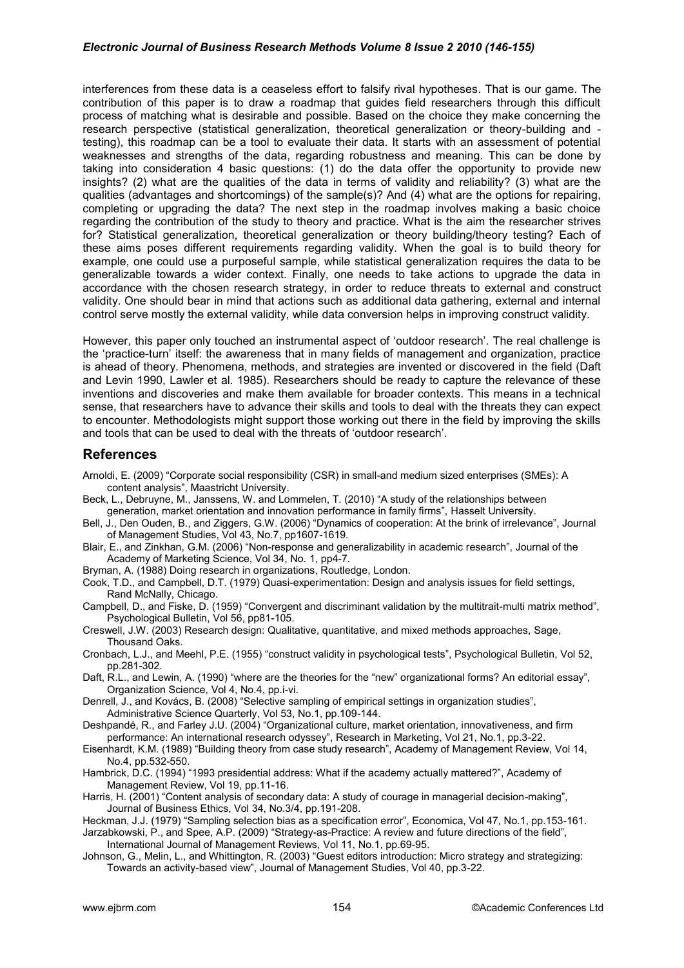#### *Electronic Journal of Business Research Methods Volume 8 Issue 2 2010 (146-155)*

interferences from these data is a ceaseless effort to falsify rival hypotheses. That is our game. The contribution of this paper is to draw a roadmap that guides field researchers through this difficult process of matching what is desirable and possible. Based on the choice they make concerning the research perspective (statistical generalization, theoretical generalization or theory-building and testing), this roadmap can be a tool to evaluate their data. It starts with an assessment of potential weaknesses and strengths of the data, regarding robustness and meaning. This can be done by taking into consideration 4 basic questions: (1) do the data offer the opportunity to provide new insights? (2) what are the qualities of the data in terms of validity and reliability? (3) what are the qualities (advantages and shortcomings) of the sample(s)? And (4) what are the options for repairing, completing or upgrading the data? The next step in the roadmap involves making a basic choice regarding the contribution of the study to theory and practice. What is the aim the researcher strives for? Statistical generalization, theoretical generalization or theory building/theory testing? Each of these aims poses different requirements regarding validity. When the goal is to build theory for example, one could use a purposeful sample, while statistical generalization requires the data to be generalizable towards a wider context. Finally, one needs to take actions to upgrade the data in accordance with the chosen research strategy, in order to reduce threats to external and construct validity. One should bear in mind that actions such as additional data gathering, external and internal control serve mostly the external validity, while data conversion helps in improving construct validity.

However, this paper only touched an instrumental aspect of "outdoor research". The real challenge is the "practice-turn" itself: the awareness that in many fields of management and organization, practice is ahead of theory. Phenomena, methods, and strategies are invented or discovered in the field (Daft and Levin 1990, Lawler et al. 1985). Researchers should be ready to capture the relevance of these inventions and discoveries and make them available for broader contexts. This means in a technical sense, that researchers have to advance their skills and tools to deal with the threats they can expect to encounter. Methodologists might support those working out there in the field by improving the skills and tools that can be used to deal with the threats of "outdoor research".

# **References**

- Arnoldi, E. (2009) "Corporate social responsibility (CSR) in small-and medium sized enterprises (SMEs): A content analysis", Maastricht University.
- Beck, L., Debruyne, M., Janssens, W. and Lommelen, T. (2010) "A study of the relationships between generation, market orientation and innovation performance in family firms", Hasselt University.
- Bell, J., Den Ouden, B., and Ziggers, G.W. (2006) "Dynamics of cooperation: At the brink of irrelevance", Journal of Management Studies, Vol 43, No.7, pp1607-1619.
- Blair, E., and Zinkhan, G.M. (2006) "Non-response and generalizability in academic research", Journal of the Academy of Marketing Science, Vol 34, No. 1, pp4-7.
- Bryman, A. (1988) Doing research in organizations, Routledge, London.

Cook, T.D., and Campbell, D.T. (1979) Quasi-experimentation: Design and analysis issues for field settings, Rand McNally, Chicago.

Campbell, D., and Fiske, D. (1959) "Convergent and discriminant validation by the multitrait-multi matrix method", Psychological Bulletin, Vol 56, pp81-105.

Creswell, J.W. (2003) Research design: Qualitative, quantitative, and mixed methods approaches, Sage, Thousand Oaks.

Cronbach, L.J., and Meehl, P.E. (1955) "construct validity in psychological tests", Psychological Bulletin, Vol 52, pp.281-302.

Daft, R.L., and Lewin, A. (1990) "where are the theories for the "new" organizational forms? An editorial essay", Organization Science, Vol 4, No.4, pp.i-vi.

Denrell, J., and Kovács, B. (2008) "Selective sampling of empirical settings in organization studies", Administrative Science Quarterly, Vol 53, No.1, pp.109-144.

Deshpandé, R., and Farley J.U. (2004) "Organizational culture, market orientation, innovativeness, and firm performance: An international research odyssey", Research in Marketing, Vol 21, No.1, pp.3-22.

Eisenhardt, K.M. (1989) "Building theory from case study research", Academy of Management Review, Vol 14, No.4, pp.532-550.

Hambrick, D.C. (1994) "1993 presidential address: What if the academy actually mattered?", Academy of Management Review, Vol 19, pp.11-16.

Harris, H. (2001) "Content analysis of secondary data: A study of courage in managerial decision-making", Journal of Business Ethics, Vol 34, No.3/4, pp.191-208.

Heckman, J.J. (1979) "Sampling selection bias as a specification error", Economica, Vol 47, No.1, pp.153-161. Jarzabkowski, P., and Spee, A.P. (2009) "Strategy-as-Practice: A review and future directions of the field",

International Journal of Management Reviews, Vol 11, No.1, pp.69-95.

Johnson, G., Melin, L., and Whittington, R. (2003) "Guest editors introduction: Micro strategy and strategizing: Towards an activity-based view", Journal of Management Studies, Vol 40, pp.3-22.